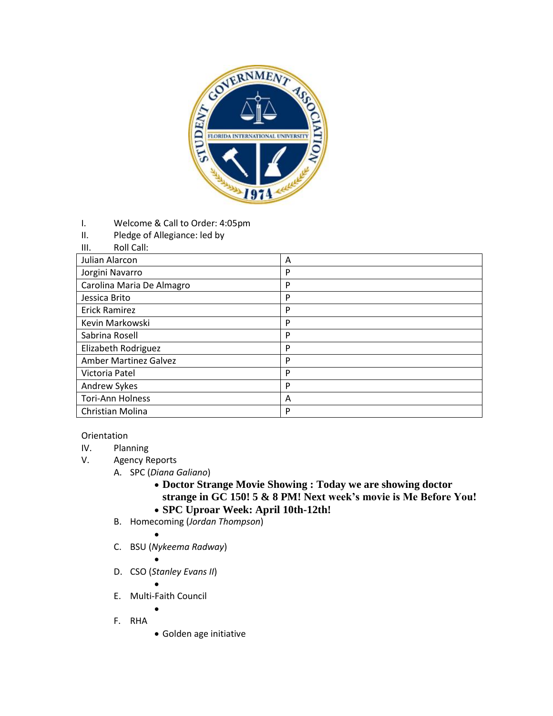

- I. Welcome & Call to Order: 4:05pm
- II. Pledge of Allegiance: led by
- III. Roll Call:

| Julian Alarcon               | A |
|------------------------------|---|
| Jorgini Navarro              | P |
| Carolina Maria De Almagro    | P |
| Jessica Brito                | P |
| <b>Erick Ramirez</b>         | P |
| Kevin Markowski              | P |
| Sabrina Rosell               | P |
| Elizabeth Rodriguez          | P |
| <b>Amber Martinez Galvez</b> | P |
| Victoria Patel               | P |
| Andrew Sykes                 | P |
| <b>Tori-Ann Holness</b>      | A |
| Christian Molina             | P |

## Orientation

- IV. Planning
- V. Agency Reports
	- A. SPC (*Diana Galiano*)
		- **Doctor Strange Movie Showing : Today we are showing doctor strange in GC 150! 5 & 8 PM! Next week's movie is Me Before You! SPC Uproar Week: April 10th-12th!**
	- B. Homecoming (*Jordan Thompson*)
	- $\bullet$ C. BSU (*Nykeema Radway*)
		- $\bullet$
	- D. CSO (*Stanley Evans II*)
		- $\bullet$
	- E. Multi-Faith Council  $\bullet$
	-
	- F. RHA
- Golden age initiative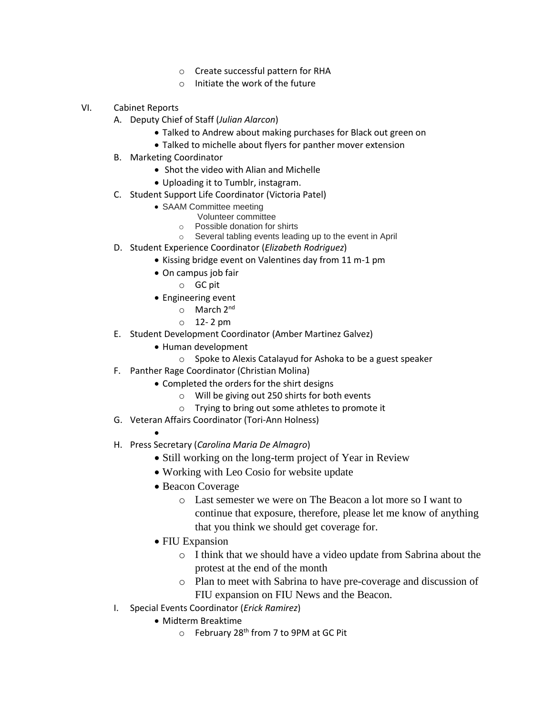- o Create successful pattern for RHA
- o Initiate the work of the future
- VI. Cabinet Reports
	- A. Deputy Chief of Staff (*Julian Alarcon*)
		- Talked to Andrew about making purchases for Black out green on
		- Talked to michelle about flyers for panther mover extension
	- B. Marketing Coordinator
		- Shot the video with Alian and Michelle
		- Uploading it to Tumblr, instagram.
	- C. Student Support Life Coordinator (Victoria Patel)
		- SAAM Committee meeting
			- Volunteer committee
			- o Possible donation for shirts
		- o Several tabling events leading up to the event in April
	- D. Student Experience Coordinator (*Elizabeth Rodriguez*)
		- Kissing bridge event on Valentines day from 11 m-1 pm
		- On campus job fair
			- o GC pit
		- Engineering event
			- o March 2nd
			- $0$  12-2 pm
	- E. Student Development Coordinator (Amber Martinez Galvez)
		- Human development
			- o Spoke to Alexis Catalayud for Ashoka to be a guest speaker
	- F. Panther Rage Coordinator (Christian Molina)
		- Completed the orders for the shirt designs
			- o Will be giving out 250 shirts for both events
			- o Trying to bring out some athletes to promote it
	- G. Veteran Affairs Coordinator (Tori-Ann Holness)
		-

 $\bullet$ 

- H. Press Secretary (*Carolina Maria De Almagro*)
	- Still working on the long-term project of Year in Review
	- Working with Leo Cosio for website update
	- Beacon Coverage
		- o Last semester we were on The Beacon a lot more so I want to continue that exposure, therefore, please let me know of anything that you think we should get coverage for.
	- FIU Expansion
		- o I think that we should have a video update from Sabrina about the protest at the end of the month
		- o Plan to meet with Sabrina to have pre-coverage and discussion of FIU expansion on FIU News and the Beacon.
- I. Special Events Coordinator (*Erick Ramirez*)
	- Midterm Breaktime
		- $\circ$  February 28<sup>th</sup> from 7 to 9PM at GC Pit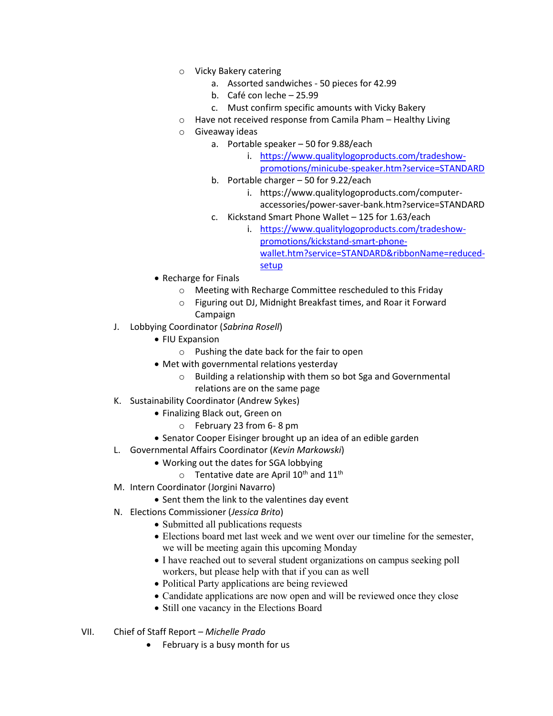- o Vicky Bakery catering
	- a. Assorted sandwiches 50 pieces for 42.99
	- b. Café con leche 25.99
	- c. Must confirm specific amounts with Vicky Bakery
- o Have not received response from Camila Pham Healthy Living
- o Giveaway ideas
	- a. Portable speaker 50 for 9.88/each
		- i. [https://www.qualitylogoproducts.com/tradeshow](https://www.qualitylogoproducts.com/tradeshow-promotions/minicube-speaker.htm?service=STANDARD)[promotions/minicube-speaker.htm?service=STANDARD](https://www.qualitylogoproducts.com/tradeshow-promotions/minicube-speaker.htm?service=STANDARD)
	- b. Portable charger 50 for 9.22/each
		- i. https://www.qualitylogoproducts.com/computeraccessories/power-saver-bank.htm?service=STANDARD
	- c. Kickstand Smart Phone Wallet 125 for 1.63/each
		- i. [https://www.qualitylogoproducts.com/tradeshow](https://www.qualitylogoproducts.com/tradeshow-promotions/kickstand-smart-phone-wallet.htm?service=STANDARD&ribbonName=reduced-setup)[promotions/kickstand-smart-phone](https://www.qualitylogoproducts.com/tradeshow-promotions/kickstand-smart-phone-wallet.htm?service=STANDARD&ribbonName=reduced-setup)[wallet.htm?service=STANDARD&ribbonName=reduced](https://www.qualitylogoproducts.com/tradeshow-promotions/kickstand-smart-phone-wallet.htm?service=STANDARD&ribbonName=reduced-setup)[setup](https://www.qualitylogoproducts.com/tradeshow-promotions/kickstand-smart-phone-wallet.htm?service=STANDARD&ribbonName=reduced-setup)
- Recharge for Finals
	- o Meeting with Recharge Committee rescheduled to this Friday
	- o Figuring out DJ, Midnight Breakfast times, and Roar it Forward Campaign
- J. Lobbying Coordinator (*Sabrina Rosell*)
	- FIU Expansion
		- o Pushing the date back for the fair to open
	- Met with governmental relations yesterday
		- o Building a relationship with them so bot Sga and Governmental
		- relations are on the same page
- K. Sustainability Coordinator (Andrew Sykes)
	- Finalizing Black out, Green on
		- o February 23 from 6- 8 pm
	- Senator Cooper Eisinger brought up an idea of an edible garden
- L. Governmental Affairs Coordinator (*Kevin Markowski*)
	- Working out the dates for SGA lobbying
		- $\circ$  Tentative date are April 10<sup>th</sup> and 11<sup>th</sup>
- M. Intern Coordinator (Jorgini Navarro)
	- Sent them the link to the valentines day event
- N. Elections Commissioner (*Jessica Brito*)
	- Submitted all publications requests
	- Elections board met last week and we went over our timeline for the semester, we will be meeting again this upcoming Monday
	- I have reached out to several student organizations on campus seeking poll workers, but please help with that if you can as well
	- Political Party applications are being reviewed
	- Candidate applications are now open and will be reviewed once they close
	- Still one vacancy in the Elections Board
- VII. Chief of Staff Report *Michelle Prado*
	- February is a busy month for us